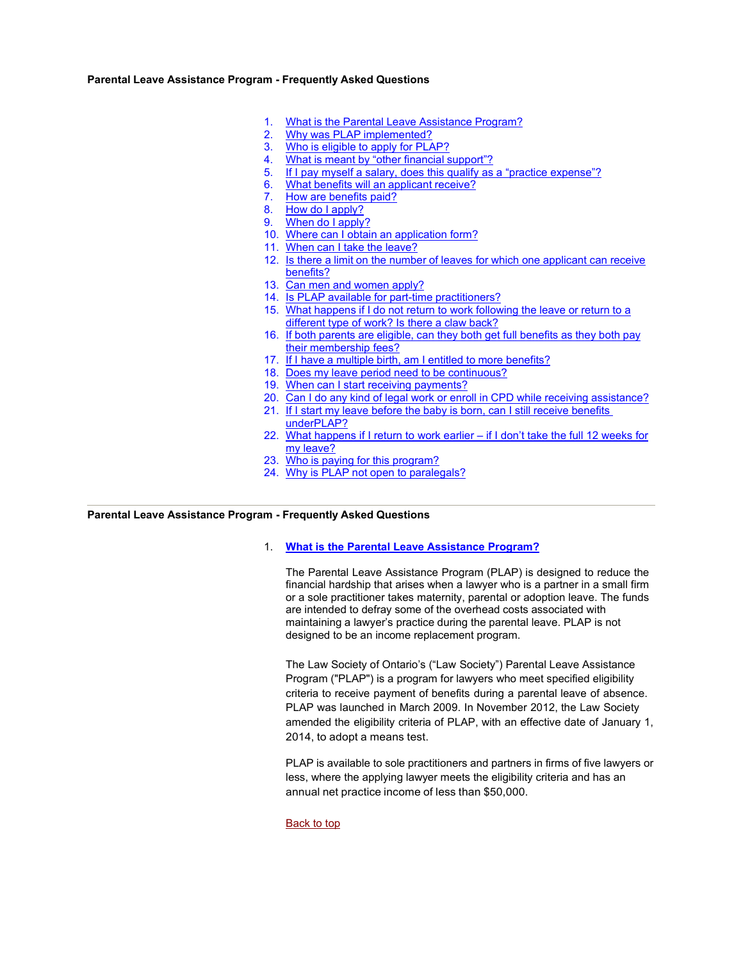### <span id="page-0-1"></span> **Parental Leave Assistance Program - Frequently Asked Questions**

- $1.$ What is the Parental Leave Assistance Program?
- Why was PLAP implemented?
- Who is eligible to apply for PLAP?
- What is meant by "other financial support"?
- 5. If I pay myself a salary, does this qualify as a "practice expense"?
- $6.$ What benefits will an applicant receive?
- 7. How are benefits paid?
- 8. How do I apply?
- $\mathbf{q}$ When do I apply?
- 10. Where can I obtain an application form?
- 11. When can I take the leave?
- 12. Is there a limit on the number of leaves for which one applicant can receive [benefits?](#page-4-3)
- 13. Can men and women apply?
- 14. [Is PLAP available for part-time practitioners?](#page-5-0)
- 15. [What happens if I do not return to work following the leave or return to a](#page-5-1) [different type of work? Is there a claw back?](#page-5-1)
- [their membership fees?](#page-5-2)  16. [If both parents are eligible, can they both get full benefits as they both pay](#page-5-2)
- 17. If I have a multiple birth, am I entitled to more benefits?
- 18. Does my leave period need to be continuous?
- 19. When can I start receiving payments?
- 20. Can I do any kind of legal work or enroll in CPD while receiving assistance?
- 21. If I start my leave before the baby is born, can I still receive benefits [underPLAP?](#page-7-0)
- 22. [What happens if I return to work earlier if I don't take the full 12 weeks for](#page-8-0)  [my leave?](#page-8-0)
- 23. Who is paying for this program?
- 24. [Why is PLAP not open to paralegals?](#page-8-2)

### <span id="page-0-0"></span> **Parental Leave Assistance Program - Frequently Asked Questions**

### 1. **[What is the Parental Leave Assistance Program?](#page-0-0)**

 The Parental Leave Assistance Program (PLAP) is designed to reduce the are intended to defray some of the overhead costs associated with maintaining a lawyer's practice during the parental leave. PLAP is not designed to be an income replacement program. financial hardship that arises when a lawyer who is a partner in a small firm or a sole practitioner takes maternity, parental or adoption leave. The funds

 The Law Society of Ontario's ("Law Society") Parental Leave Assistance Program ("PLAP") is a program for lawyers who meet specified eligibility criteria to receive payment of benefits during a parental leave of absence. PLAP was launched in March 2009. In November 2012, the Law Society amended the eligibility criteria of PLAP, with an effective date of January 1, 2014, to adopt a means test.

 PLAP is available to sole practitioners and partners in firms of five lawyers or annual net practice income of less than \$50,000. less, where the applying lawyer meets the eligibility criteria and has an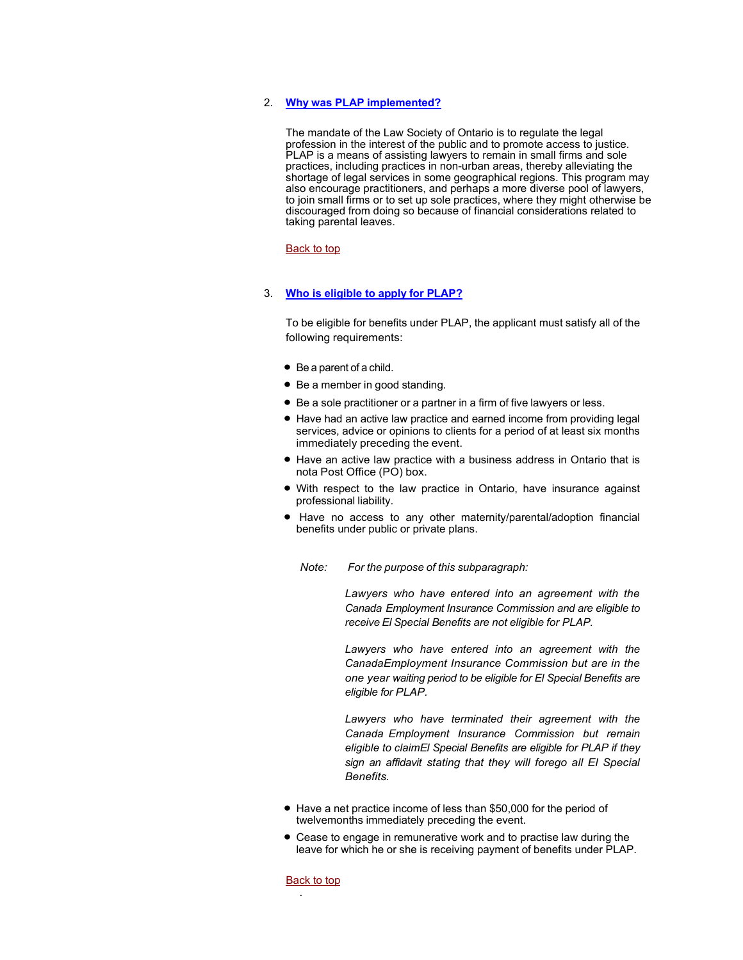# <span id="page-1-0"></span> 2. **[Why was PLAP implemented?](#page-1-0)**

 to join small firms or to set up sole practices, where they might otherwise be discouraged from doing so because of financial considerations related to The mandate of the Law Society of Ontario is to regulate the legal profession in the interest of the public and to promote access to justice. PLAP is a means of assisting lawyers to remain in small firms and sole practices, including practices in non-urban areas, thereby alleviating the shortage of legal services in some geographical regions. This program may also encourage practitioners, and perhaps a more diverse pool of lawyers, taking parental leaves.

### <u>Back to top</u>

# <span id="page-1-1"></span> 3. **[Who is eligible to apply for PLAP?](#page-1-1)**

 To be eligible for benefits under PLAP, the applicant must satisfy all of the following requirements:

- Be a parent of a child.
- Be a member in good standing.
- Be a sole practitioner or a partner in a firm of five lawyers or less.
- • Have had an active law practice and earned income from providing legal services, advice or opinions to clients for a period of at least six months immediately preceding the event.
- • Have an active law practice with a business address in Ontario that is nota Post Office (PO) box.
- • With respect to the law practice in Ontario, have insurance against professional liability.
- benefits under public or private plans. • Have no access to any other maternity/parental/adoption financial

 *Note: For the purpose of this subparagraph:* 

 *Canada Employment Insurance Commission and are eligible to receive El Special Benefits are not eligible for PLAP. Lawyers who have entered into an agreement with the* 

 *Lawyers who have entered into an agreement with the CanadaEmployment Insurance Commission but are in the one year waiting period to be eligible for El Special Benefits are eligible for PLAP.* 

 *Lawyers who have terminated their agreement with the Canada Employment Insurance Commission but remain eligible to claimEl Special Benefits are eligible for PLAP if they sign an affidavit stating that they will forego all El Special Benefits.* 

- • Have a net practice income of less than \$50,000 for the period of twelvemonths immediately preceding the event.
- leave for which he or she is receiving payment of benefits under PLAP. • Cease to engage in remunerative work and to practise law during the

#### <u>Back to top</u>

.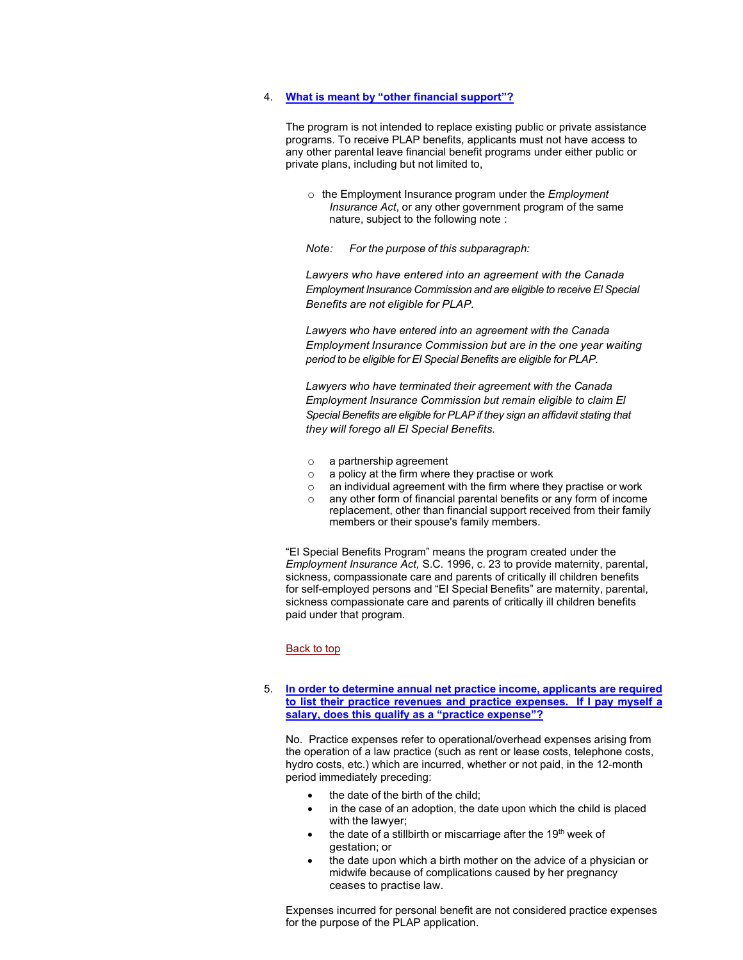### <span id="page-2-1"></span> 4. **[What is meant by "other financial support"?](#page-2-1)**

 The program is not intended to replace existing public or private assistance programs. To receive PLAP benefits, applicants must not have access to any other parental leave financial benefit programs under either public or private plans, including but not limited to,

 *Insurance Act*, or any other government program of the same nature, subject to the following note : o the Employment Insurance program under the *Employment* 

 *Note: For the purpose of this subparagraph:* 

 *Employment Insurance Commission and are eligible to receive El Special Benefits are not eligible for PLAP. Lawyers who have entered into an agreement with the Canada* 

 *Employment Insurance Commission but are in the one year waiting period to be eligible for El Special Benefits are eligible for PLAP. Lawyers who have entered into an agreement with the Canada* 

 *Special Benefits are eligible for PLAP if they sign an affidavit stating that they will forego all El Special Benefits. Lawyers who have terminated their agreement with the Canada Employment Insurance Commission but remain eligible to claim El* 

- o a partnership agreement
- $\circ$  a policy at the firm where they practise or work
- o an individual agreement with the firm where they practise or work
- $\circ$  any other form of financial parental benefits or any form of income replacement, other than financial support received from their family members or their spouse's family members.

 sickness, compassionate care and parents of critically ill children benefits for self-employed persons and "EI Special Benefits" are maternity, parental, "EI Special Benefits Program" means the program created under the *Employment Insurance Act,* S.C. 1996, c. 23 to provide maternity, parental, sickness compassionate care and parents of critically ill children benefits paid under that program.

#### <u>Back to top</u>

<span id="page-2-0"></span> 5. **[In order to determine annual net practice income, applicants are required](#page-2-0) [to list their practice revenues and practice expenses. If I pay myself a](#page-2-0)  [salary, does this qualify as a "practice expense"?](#page-2-0)** 

No. Practice expenses refer to operational/overhead expenses arising from the operation of a law practice (such as rent or lease costs, telephone costs, hydro costs, etc.) which are incurred, whether or not paid, in the 12-month period immediately preceding:

- the date of the birth of the child;
- with the lawyer; in the case of an adoption, the date upon which the child is placed
- the date of a stillbirth or miscarriage after the 19<sup>th</sup> week of gestation; or
- ceases to practise law. the date upon which a birth mother on the advice of a physician or midwife because of complications caused by her pregnancy

 Expenses incurred for personal benefit are not considered practice expenses for the purpose of the PLAP application.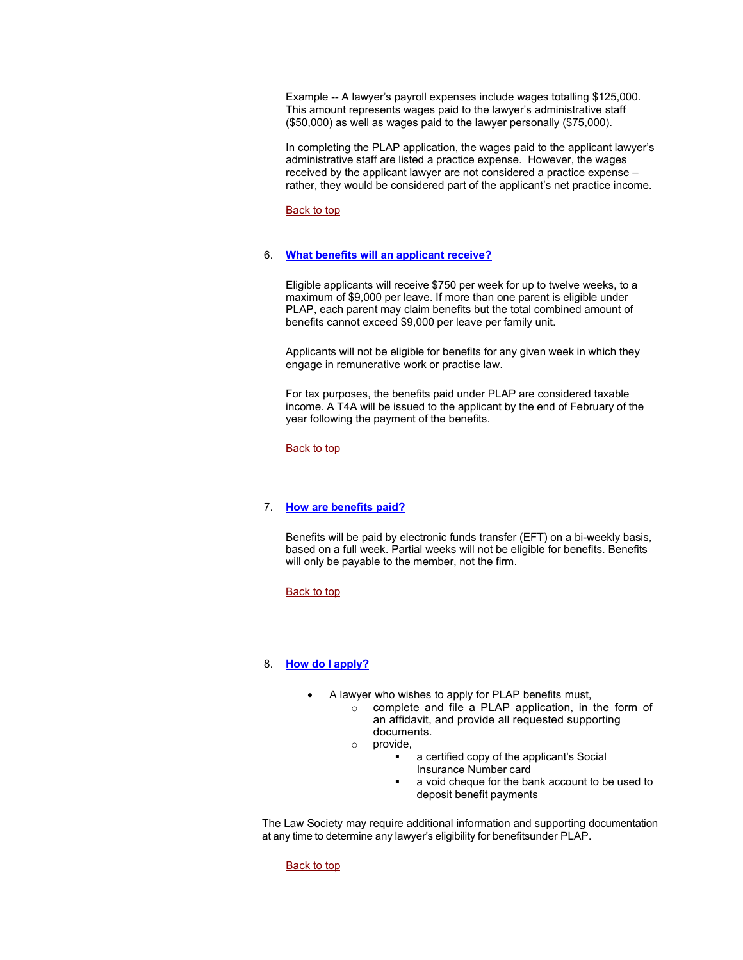Example -- A lawyer's payroll expenses include wages totalling \$125,000. This amount represents wages paid to the lawyer's administrative staff (\$50,000) as well as wages paid to the lawyer personally (\$75,000).

 In completing the PLAP application, the wages paid to the applicant lawyer's received by the applicant lawyer are not considered a practice expense – administrative staff are listed a practice expense. However, the wages rather, they would be considered part of the applicant's net practice income.

[Back to top](#page-0-1) 

### <span id="page-3-0"></span> 6. **[What benefits will an applicant receive?](#page-3-0)**

 Eligible applicants will receive \$750 per week for up to twelve weeks, to a PLAP, each parent may claim benefits but the total combined amount of benefits cannot exceed \$9,000 per leave per family unit. maximum of \$9,000 per leave. If more than one parent is eligible under

Applicants will not be eligible for benefits for any given week in which they engage in remunerative work or practise law.

 income. A T4A will be issued to the applicant by the end of February of the year following the payment of the benefits. For tax purposes, the benefits paid under PLAP are considered taxable

Back to top

### <span id="page-3-1"></span> 7. **[How are benefits paid?](#page-3-1)**

 will only be payable to the member, not the firm. Benefits will be paid by electronic funds transfer (EFT) on a bi-weekly basis, based on a full week. Partial weeks will not be eligible for benefits. Benefits

<u>Back to top</u>

# <span id="page-3-2"></span> 8. **[How do I apply?](#page-3-2)**

- • A lawyer who wishes to apply for PLAP benefits must,
	- o complete and file a PLAP application, in the form of an affidavit, and provide all requested supporting documents.
	- o provide,
		- a certified copy of the applicant's Social
			- Insurance Number card
			- deposit benefit payments a void cheque for the bank account to be used to

 at any time to determine any lawyer's eligibility for benefitsunder PLAP. The Law Society may require additional information and supporting documentation

Back to top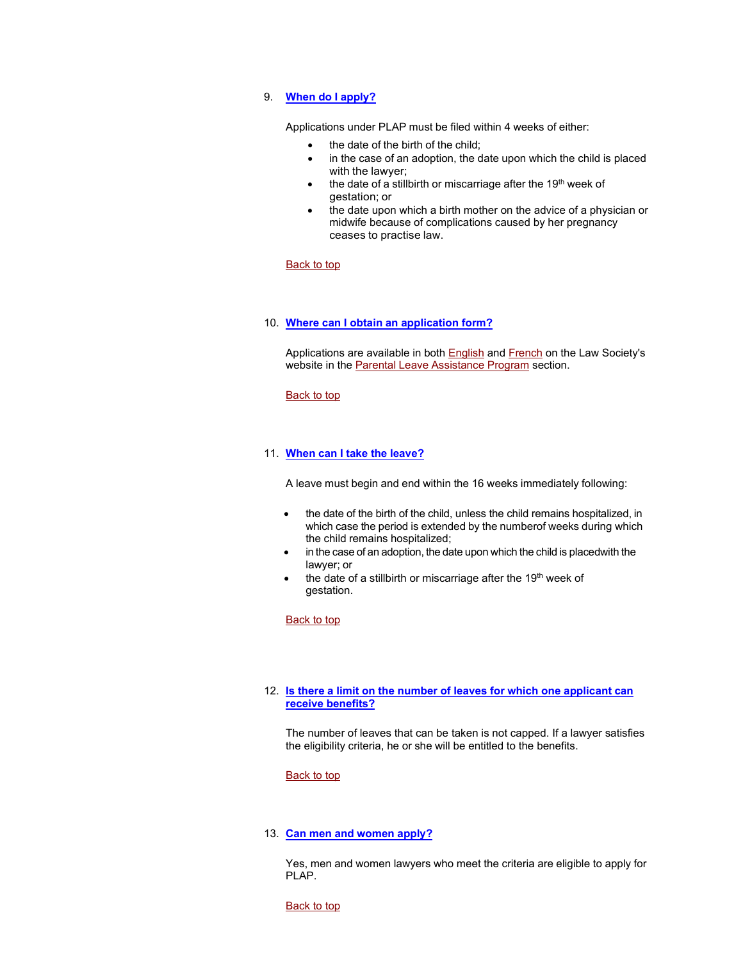### <span id="page-4-0"></span> 9. **[When do I apply?](#page-4-0)**

Applications under PLAP must be filed within 4 weeks of either:

- the date of the birth of the child;
- with the lawyer; in the case of an adoption, the date upon which the child is placed
- the date of a stillbirth or miscarriage after the 19<sup>th</sup> week of gestation; or
- ceases to practise law. • the date upon which a birth mother on the advice of a physician or midwife because of complications caused by her pregnancy

#### <u>Back to top</u>

### <span id="page-4-1"></span> 10. **[Where can I obtain an application form?](#page-4-1)**

website in the <u>Parental Leave Assistance Program</u> section. Applications are available in both **English** and **French** on the Law Society's

#### <u>Back to top</u>

### <span id="page-4-2"></span> 11. **[When can I take the leave?](#page-4-2)**

A leave must begin and end within the 16 weeks immediately following:

- • the date of the birth of the child, unless the child remains hospitalized, in which case the period is extended by the numberof weeks during which the child remains hospitalized;
- lawyer; or • in the case of an adoption, the date upon which the child is placedwith the
- the date of a stillbirth or miscarriage after the 19<sup>th</sup> week of gestation.

<u>Back to top</u>

### <span id="page-4-3"></span> 12. **[Is there a limit on the number of leaves for which one applicant can](#page-4-3) [receive benefits?](#page-4-3)**

 the eligibility criteria, he or she will be entitled to the benefits. The number of leaves that can be taken is not capped. If a lawyer satisfies

#### <u>Back to top</u>

### <span id="page-4-4"></span> 13. **[Can men and women apply?](#page-4-4)**

 Yes, men and women lawyers who meet the criteria are eligible to apply for PLAP.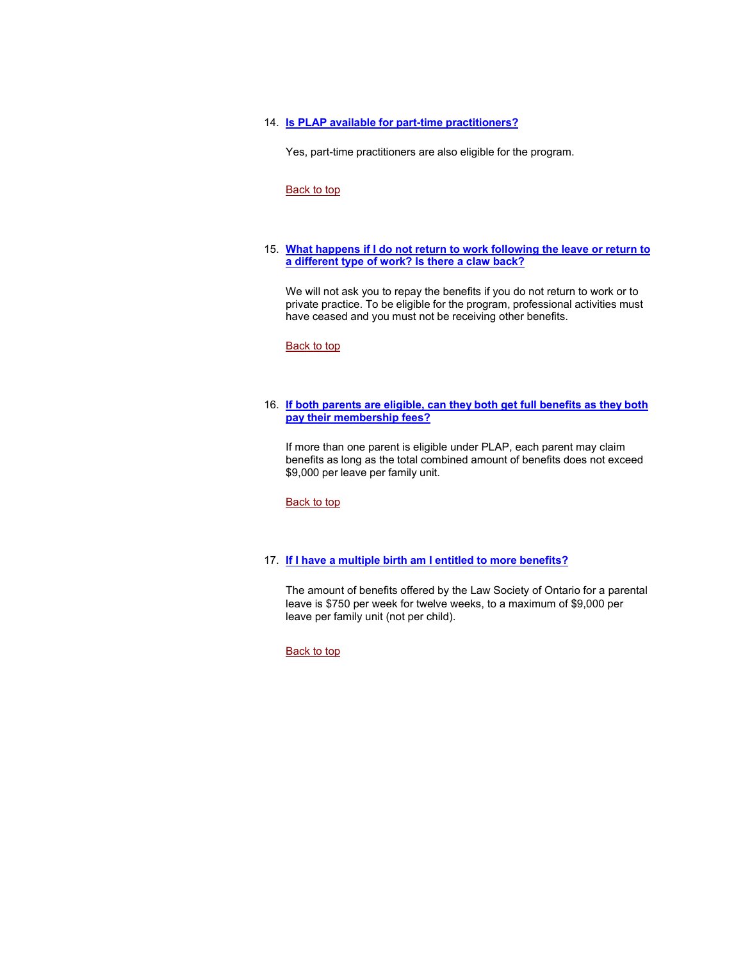### <span id="page-5-0"></span> 14. **[Is PLAP available for part-time practitioners?](#page-5-0)**

Yes, part-time practitioners are also eligible for the program.

#### [Back to top](#page-0-1)

### <span id="page-5-1"></span> 15. **[What happens if I do not return to work following the leave or return to](#page-5-1) [a different type of work? Is there a claw back?](#page-5-1)**

 private practice. To be eligible for the program, professional activities must have ceased and you must not be receiving other benefits. We will not ask you to repay the benefits if you do not return to work or to

<u>Back to top</u>

#### <span id="page-5-2"></span> 16. **[If both parents are eligible, can they both get full benefits as they both](#page-5-2) [pay their membership fees?](#page-5-2)**

 If more than one parent is eligible under PLAP, each parent may claim benefits as long as the total combined amount of benefits does not exceed \$9,000 per leave per family unit.

[Back to top](#page-0-1) 

#### <span id="page-5-3"></span> 17. **[If I have a multiple birth am I entitled to more benefits?](#page-5-3)**

The amount of benefits offered by the Law Society of Ontario for a parental leave is \$750 per week for twelve weeks, to a maximum of \$9,000 per leave per family unit (not per child).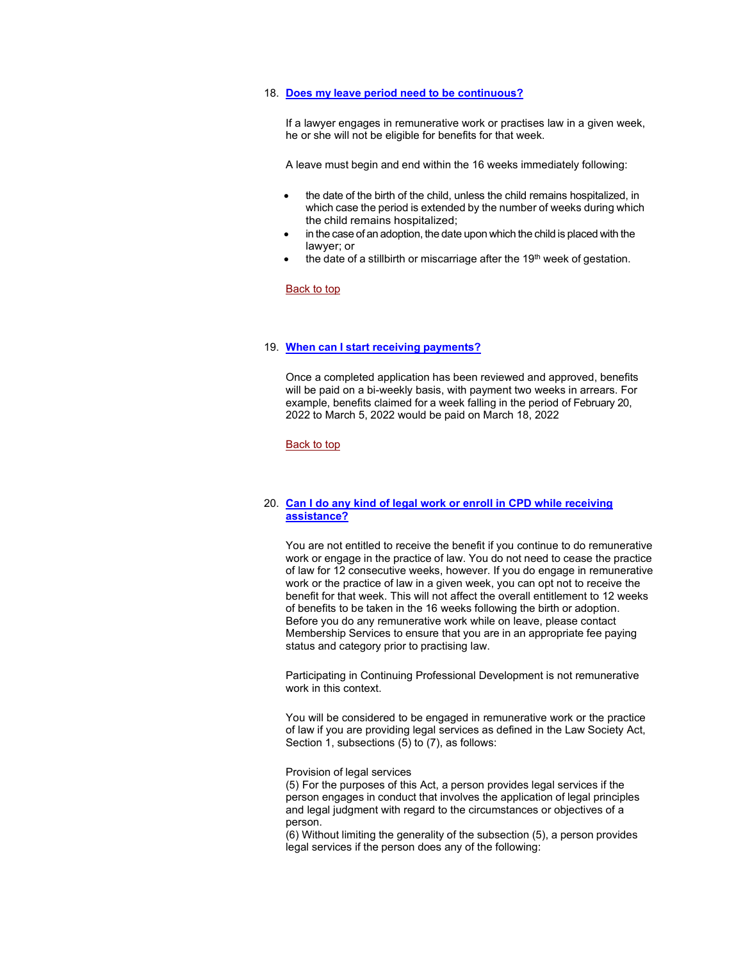#### <span id="page-6-0"></span> 18. **[Does my leave period need to be continuous?](#page-6-0)**

 he or she will not be eligible for benefits for that week. If a lawyer engages in remunerative work or practises law in a given week,

A leave must begin and end within the 16 weeks immediately following:

- • the date of the birth of the child, unless the child remains hospitalized, in which case the period is extended by the number of weeks during which the child remains hospitalized;
- in the case of an adoption, the date upon which the child is placed with the lawyer; or
- the date of a stillbirth or miscarriage after the  $19<sup>th</sup>$  week of gestation.

### <u>Back to top</u>

#### <span id="page-6-1"></span> 19. **[When can I start receiving payments?](#page-6-1)**

 Once a completed application has been reviewed and approved, benefits will be paid on a bi-weekly basis, with payment two weeks in arrears. For example, benefits claimed for a week falling in the period of February 20, 2022 to March 5, 2022 would be paid on March 18, 2022

<u>Back to top</u>

### <span id="page-6-2"></span> 20. **[Can I do any kind of legal work or enroll in CPD while receiving](#page-6-2) [assistance?](#page-6-2)**

 work or engage in the practice of law. You do not need to cease the practice of benefits to be taken in the 16 weeks following the birth or adoption. Membership Services to ensure that you are in an appropriate fee paying status and category prior to practising law. You are not entitled to receive the benefit if you continue to do remunerative of law for 12 consecutive weeks, however. If you do engage in remunerative work or the practice of law in a given week, you can opt not to receive the benefit for that week. This will not affect the overall entitlement to 12 weeks Before you do any remunerative work while on leave, please contact

 Participating in Continuing Professional Development is not remunerative work in this context.

 You will be considered to be engaged in remunerative work or the practice of law if you are providing legal services as defined in the Law Society Act, Section 1, subsections (5) to (7), as follows:

Provision of legal services

 (5) For the purposes of this Act, a person provides legal services if the person engages in conduct that involves the application of legal principles and legal judgment with regard to the circumstances or objectives of a person.

 (6) Without limiting the generality of the subsection (5), a person provides legal services if the person does any of the following: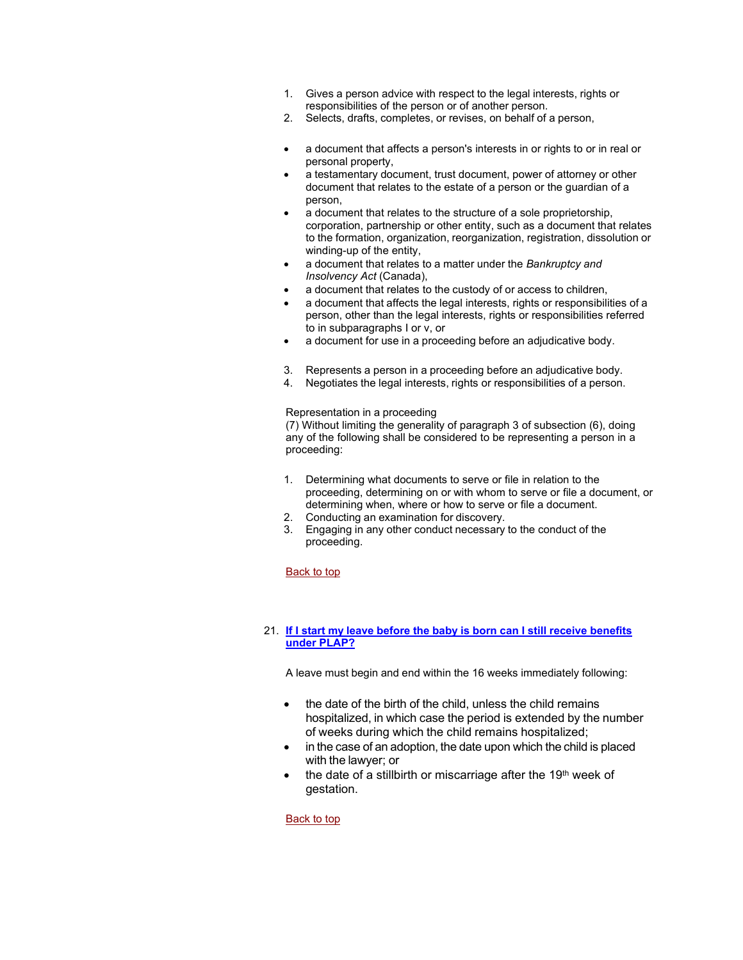- 1. Gives a person advice with respect to the legal interests, rights or responsibilities of the person or of another person.
- $2.$ Selects, drafts, completes, or revises, on behalf of a person,
- • a document that affects a person's interests in or rights to or in real or personal property,
- a testamentary document, trust document, power of attorney or other document that relates to the estate of a person or the guardian of a person,
- to the formation, organization, reorganization, registration, dissolution or • a document that relates to the structure of a sole proprietorship, corporation, partnership or other entity, such as a document that relates winding-up of the entity,
- a document that relates to a matter under the *Bankruptcy and Insolvency Act* (Canada),
- a document that relates to the custody of or access to children,
- to in subparagraphs I or v, or • a document that affects the legal interests, rights or responsibilities of a person, other than the legal interests, rights or responsibilities referred
- a document for use in a proceeding before an adjudicative body.
- 3. Represents a person in a proceeding before an adjudicative body.
- 4. Negotiates the legal interests, rights or responsibilities of a person.

# Representation in a proceeding

 any of the following shall be considered to be representing a person in a (7) Without limiting the generality of paragraph 3 of subsection (6), doing proceeding:

- proceeding, determining on or with whom to serve or file a document, or determining when, where or how to serve or file a document. 1. Determining what documents to serve or file in relation to the
- 2. Conducting an examination for discovery.
- 3. Engaging in any other conduct necessary to the conduct of the proceeding.

# <u>Back to top</u>

# <span id="page-7-0"></span> 21. **[If I start my leave before the baby is born can I still receive benefits](#page-7-0) [under PLAP?](#page-7-0)**

A leave must begin and end within the 16 weeks immediately following:

- hospitalized, in which case the period is extended by the number of weeks during which the child remains hospitalized; the date of the birth of the child, unless the child remains
- with the lawyer; or in the case of an adoption, the date upon which the child is placed
- the date of a stillbirth or miscarriage after the 19<sup>th</sup> week of gestation.

# Back to top